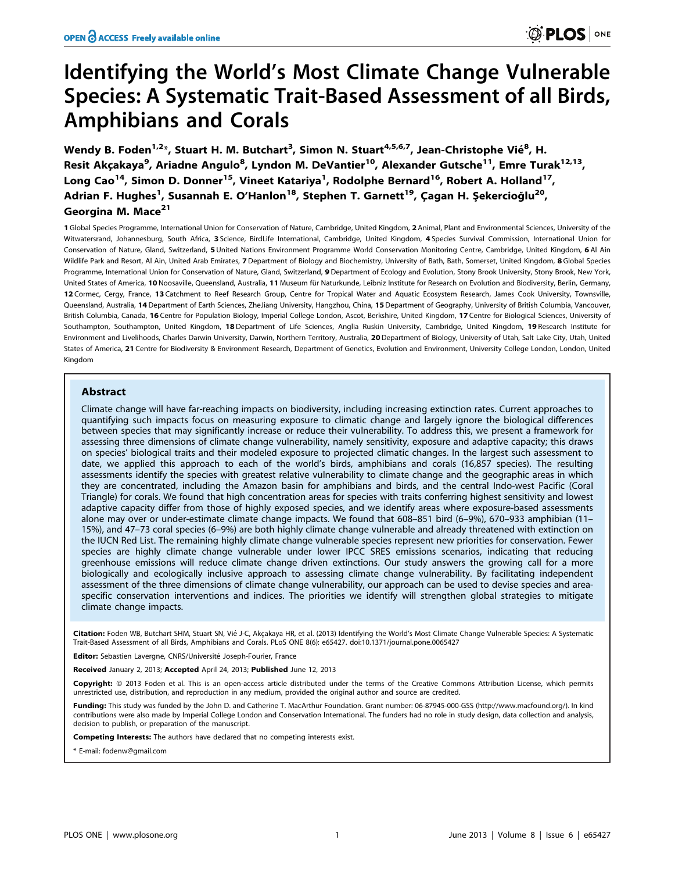# Identifying the World's Most Climate Change Vulnerable Species: A Systematic Trait-Based Assessment of all Birds, Amphibians and Corals

Wendy B. Foden<sup>1,2</sup>\*, Stuart H. M. Butchart<sup>3</sup>, Simon N. Stuart<sup>4,5,6,7</sup>, Jean-Christophe Vié<sup>8</sup>, H. Resit Akçakaya<sup>9</sup>, Ariadne Angulo<sup>8</sup>, Lyndon M. DeVantier<sup>10</sup>, Alexander Gutsche<sup>11</sup>, Emre Turak<sup>12,13</sup>, Long Cao<sup>14</sup>, Simon D. Donner<sup>15</sup>, Vineet Katariya<sup>1</sup>, Rodolphe Bernard<sup>16</sup>, Robert A. Holland<sup>17</sup>, Adrian F. Hughes<sup>1</sup>, Susannah E. O'Hanlon<sup>18</sup>, Stephen T. Garnett<sup>19</sup>, Çagan H. Şekercioğlu<sup>20</sup>, Georgina M. Mace<sup>21</sup>

1 Global Species Programme, International Union for Conservation of Nature, Cambridge, United Kingdom, 2 Animal, Plant and Environmental Sciences, University of the Witwatersrand, Johannesburg, South Africa, 3 Science, BirdLife International, Cambridge, United Kingdom, 4 Species Survival Commission, International Union for Conservation of Nature, Gland, Switzerland, 5 United Nations Environment Programme World Conservation Monitoring Centre, Cambridge, United Kingdom, 6 Al Ain Wildlife Park and Resort, Al Ain, United Arab Emirates, 7 Department of Biology and Biochemistry, University of Bath, Bath, Somerset, United Kingdom, 8 Global Species Programme, International Union for Conservation of Nature, Gland, Switzerland, 9 Department of Ecology and Evolution, Stony Brook University, Stony Brook, New York, United States of America, 10 Noosaville, Queensland, Australia, 11 Museum für Naturkunde, Leibniz Institute for Research on Evolution and Biodiversity, Berlin, Germany, 12 Cormec, Cergy, France, 13 Catchment to Reef Research Group, Centre for Tropical Water and Aquatic Ecosystem Research, James Cook University, Townsville, Queensland, Australia, 14 Department of Earth Sciences, ZheJiang University, Hangzhou, China, 15 Department of Geography, University of British Columbia, Vancouver, British Columbia, Canada, 16 Centre for Population Biology, Imperial College London, Ascot, Berkshire, United Kingdom, 17 Centre for Biological Sciences, University of Southampton, Southampton, United Kingdom, 18 Department of Life Sciences, Anglia Ruskin University, Cambridge, United Kingdom, 19 Research Institute for Environment and Livelihoods, Charles Darwin University, Darwin, Northern Territory, Australia, 20Department of Biology, University of Utah, Salt Lake City, Utah, United States of America, 21 Centre for Biodiversity & Environment Research, Department of Genetics, Evolution and Environment, University College London, London, United Kingdom

# Abstract

Climate change will have far-reaching impacts on biodiversity, including increasing extinction rates. Current approaches to quantifying such impacts focus on measuring exposure to climatic change and largely ignore the biological differences between species that may significantly increase or reduce their vulnerability. To address this, we present a framework for assessing three dimensions of climate change vulnerability, namely sensitivity, exposure and adaptive capacity; this draws on species' biological traits and their modeled exposure to projected climatic changes. In the largest such assessment to date, we applied this approach to each of the world's birds, amphibians and corals (16,857 species). The resulting assessments identify the species with greatest relative vulnerability to climate change and the geographic areas in which they are concentrated, including the Amazon basin for amphibians and birds, and the central Indo-west Pacific (Coral Triangle) for corals. We found that high concentration areas for species with traits conferring highest sensitivity and lowest adaptive capacity differ from those of highly exposed species, and we identify areas where exposure-based assessments alone may over or under-estimate climate change impacts. We found that 608–851 bird (6–9%), 670–933 amphibian (11– 15%), and 47–73 coral species (6–9%) are both highly climate change vulnerable and already threatened with extinction on the IUCN Red List. The remaining highly climate change vulnerable species represent new priorities for conservation. Fewer species are highly climate change vulnerable under lower IPCC SRES emissions scenarios, indicating that reducing greenhouse emissions will reduce climate change driven extinctions. Our study answers the growing call for a more biologically and ecologically inclusive approach to assessing climate change vulnerability. By facilitating independent assessment of the three dimensions of climate change vulnerability, our approach can be used to devise species and areaspecific conservation interventions and indices. The priorities we identify will strengthen global strategies to mitigate climate change impacts.

Citation: Foden WB, Butchart SHM, Stuart SN, Vié J-C, Akçakaya HR, et al. (2013) Identifying the World's Most Climate Change Vulnerable Species: A Systematic Trait-Based Assessment of all Birds, Amphibians and Corals. PLoS ONE 8(6): e65427. doi:10.1371/journal.pone.0065427

Editor: Sebastien Lavergne, CNRS/Université Joseph-Fourier, France

Received January 2, 2013; Accepted April 24, 2013; Published June 12, 2013

Copyright: © 2013 Foden et al. This is an open-access article distributed under the terms of the Creative Commons Attribution License, which permits unrestricted use, distribution, and reproduction in any medium, provided the original author and source are credited.

Funding: This study was funded by the John D. and Catherine T. MacArthur Foundation. Grant number: 06-87945-000-GSS (http://www.macfound.org/). In kind contributions were also made by Imperial College London and Conservation International. The funders had no role in study design, data collection and analysis, decision to publish, or preparation of the manuscript.

Competing Interests: The authors have declared that no competing interests exist.

\* E-mail: fodenw@gmail.com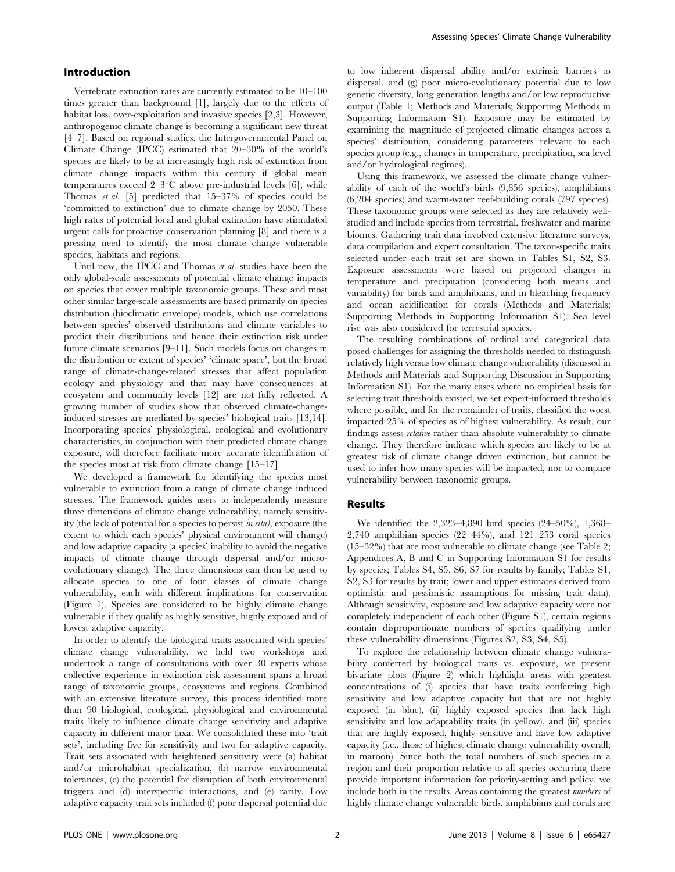## Introduction

Vertebrate extinction rates are currently estimated to be 10–100 times greater than background [1], largely due to the effects of habitat loss, over-exploitation and invasive species [2,3]. However, anthropogenic climate change is becoming a significant new threat [4–7]. Based on regional studies, the Intergovernmental Panel on Climate Change (IPCC) estimated that 20–30% of the world's species are likely to be at increasingly high risk of extinction from climate change impacts within this century if global mean temperatures exceed  $2-3$ °C above pre-industrial levels [6], while Thomas et al. [5] predicted that 15–37% of species could be 'committed to extinction' due to climate change by 2050. These high rates of potential local and global extinction have stimulated urgent calls for proactive conservation planning [8] and there is a pressing need to identify the most climate change vulnerable species, habitats and regions.

Until now, the IPCC and Thomas *et al.* studies have been the only global-scale assessments of potential climate change impacts on species that cover multiple taxonomic groups. These and most other similar large-scale assessments are based primarily on species distribution (bioclimatic envelope) models, which use correlations between species' observed distributions and climate variables to predict their distributions and hence their extinction risk under future climate scenarios [9–11]. Such models focus on changes in the distribution or extent of species' 'climate space', but the broad range of climate-change-related stresses that affect population ecology and physiology and that may have consequences at ecosystem and community levels [12] are not fully reflected. A growing number of studies show that observed climate-changeinduced stresses are mediated by species' biological traits [13,14]. Incorporating species' physiological, ecological and evolutionary characteristics, in conjunction with their predicted climate change exposure, will therefore facilitate more accurate identification of the species most at risk from climate change [15–17].

We developed a framework for identifying the species most vulnerable to extinction from a range of climate change induced stresses. The framework guides users to independently measure three dimensions of climate change vulnerability, namely sensitivity (the lack of potential for a species to persist in situ), exposure (the extent to which each species' physical environment will change) and low adaptive capacity (a species' inability to avoid the negative impacts of climate change through dispersal and/or microevolutionary change). The three dimensions can then be used to allocate species to one of four classes of climate change vulnerability, each with different implications for conservation (Figure 1). Species are considered to be highly climate change vulnerable if they qualify as highly sensitive, highly exposed and of lowest adaptive capacity.

In order to identify the biological traits associated with species' climate change vulnerability, we held two workshops and undertook a range of consultations with over 30 experts whose collective experience in extinction risk assessment spans a broad range of taxonomic groups, ecosystems and regions. Combined with an extensive literature survey, this process identified more than 90 biological, ecological, physiological and environmental traits likely to influence climate change sensitivity and adaptive capacity in different major taxa. We consolidated these into 'trait sets', including five for sensitivity and two for adaptive capacity. Trait sets associated with heightened sensitivity were (a) habitat and/or microhabitat specialization, (b) narrow environmental tolerances, (c) the potential for disruption of both environmental triggers and (d) interspecific interactions, and (e) rarity. Low adaptive capacity trait sets included (f) poor dispersal potential due to low inherent dispersal ability and/or extrinsic barriers to dispersal, and (g) poor micro-evolutionary potential due to low genetic diversity, long generation lengths and/or low reproductive output (Table 1; Methods and Materials; Supporting Methods in Supporting Information S1). Exposure may be estimated by examining the magnitude of projected climatic changes across a species' distribution, considering parameters relevant to each species group (e.g., changes in temperature, precipitation, sea level and/or hydrological regimes).

Using this framework, we assessed the climate change vulnerability of each of the world's birds (9,856 species), amphibians (6,204 species) and warm-water reef-building corals (797 species). These taxonomic groups were selected as they are relatively wellstudied and include species from terrestrial, freshwater and marine biomes. Gathering trait data involved extensive literature surveys, data compilation and expert consultation. The taxon-specific traits selected under each trait set are shown in Tables S1, S2, S3. Exposure assessments were based on projected changes in temperature and precipitation (considering both means and variability) for birds and amphibians, and in bleaching frequency and ocean acidification for corals (Methods and Materials; Supporting Methods in Supporting Information S1). Sea level rise was also considered for terrestrial species.

The resulting combinations of ordinal and categorical data posed challenges for assigning the thresholds needed to distinguish relatively high versus low climate change vulnerability (discussed in Methods and Materials and Supporting Discussion in Supporting Information S1). For the many cases where no empirical basis for selecting trait thresholds existed, we set expert-informed thresholds where possible, and for the remainder of traits, classified the worst impacted 25% of species as of highest vulnerability. As result, our findings assess relative rather than absolute vulnerability to climate change. They therefore indicate which species are likely to be at greatest risk of climate change driven extinction, but cannot be used to infer how many species will be impacted, nor to compare vulnerability between taxonomic groups.

## Results

We identified the 2,323–4,890 bird species (24–50%), 1,368– 2,740 amphibian species  $(22-44\%)$ , and  $121-253$  coral species (15–32%) that are most vulnerable to climate change (see Table 2; Appendices A, B and C in Supporting Information S1 for results by species; Tables S4, S5, S6, S7 for results by family; Tables S1, S2, S3 for results by trait; lower and upper estimates derived from optimistic and pessimistic assumptions for missing trait data). Although sensitivity, exposure and low adaptive capacity were not completely independent of each other (Figure S1), certain regions contain disproportionate numbers of species qualifying under these vulnerability dimensions (Figures S2, S3, S4, S5).

To explore the relationship between climate change vulnerability conferred by biological traits vs. exposure, we present bivariate plots (Figure 2) which highlight areas with greatest concentrations of (i) species that have traits conferring high sensitivity and low adaptive capacity but that are not highly exposed (in blue), (ii) highly exposed species that lack high sensitivity and low adaptability traits (in yellow), and (iii) species that are highly exposed, highly sensitive and have low adaptive capacity (i.e., those of highest climate change vulnerability overall; in maroon). Since both the total numbers of such species in a region and their proportion relative to all species occurring there provide important information for priority-setting and policy, we include both in the results. Areas containing the greatest numbers of highly climate change vulnerable birds, amphibians and corals are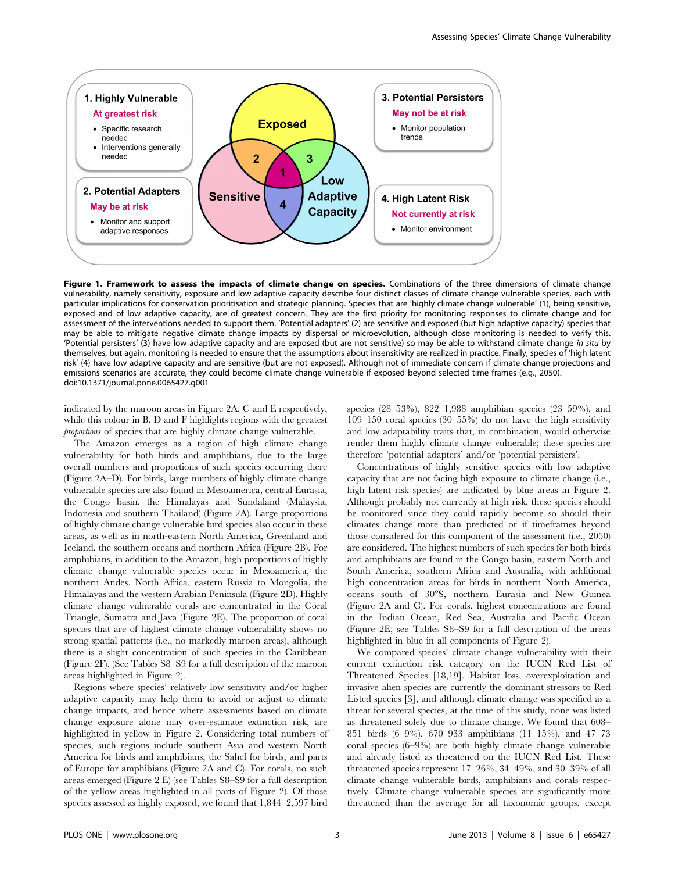

Figure 1. Framework to assess the impacts of climate change on species. Combinations of the three dimensions of climate change vulnerability, namely sensitivity, exposure and low adaptive capacity describe four distinct classes of climate change vulnerable species, each with particular implications for conservation prioritisation and strategic planning. Species that are 'highly climate change vulnerable' (1), being sensitive, exposed and of low adaptive capacity, are of greatest concern. They are the first priority for monitoring responses to climate change and for assessment of the interventions needed to support them. 'Potential adapters' (2) are sensitive and exposed (but high adaptive capacity) species that may be able to mitigate negative climate change impacts by dispersal or microevolution, although close monitoring is needed to verify this. 'Potential persisters' (3) have low adaptive capacity and are exposed (but are not sensitive) so may be able to withstand climate change in situ by themselves, but again, monitoring is needed to ensure that the assumptions about insensitivity are realized in practice. Finally, species of 'high latent risk' (4) have low adaptive capacity and are sensitive (but are not exposed). Although not of immediate concern if climate change projections and emissions scenarios are accurate, they could become climate change vulnerable if exposed beyond selected time frames (e.g., 2050). doi:10.1371/journal.pone.0065427.g001

indicated by the maroon areas in Figure 2A, C and E respectively, while this colour in B, D and F highlights regions with the greatest proportions of species that are highly climate change vulnerable.

The Amazon emerges as a region of high climate change vulnerability for both birds and amphibians, due to the large overall numbers and proportions of such species occurring there (Figure 2A–D). For birds, large numbers of highly climate change vulnerable species are also found in Mesoamerica, central Eurasia, the Congo basin, the Himalayas and Sundaland (Malaysia, Indonesia and southern Thailand) (Figure 2A). Large proportions of highly climate change vulnerable bird species also occur in these areas, as well as in north-eastern North America, Greenland and Iceland, the southern oceans and northern Africa (Figure 2B). For amphibians, in addition to the Amazon, high proportions of highly climate change vulnerable species occur in Mesoamerica, the northern Andes, North Africa, eastern Russia to Mongolia, the Himalayas and the western Arabian Peninsula (Figure 2D). Highly climate change vulnerable corals are concentrated in the Coral Triangle, Sumatra and Java (Figure 2E). The proportion of coral species that are of highest climate change vulnerability shows no strong spatial patterns (i.e., no markedly maroon areas), although there is a slight concentration of such species in the Caribbean (Figure 2F). (See Tables S8–S9 for a full description of the maroon areas highlighted in Figure 2).

Regions where species' relatively low sensitivity and/or higher adaptive capacity may help them to avoid or adjust to climate change impacts, and hence where assessments based on climate change exposure alone may over-estimate extinction risk, are highlighted in yellow in Figure 2. Considering total numbers of species, such regions include southern Asia and western North America for birds and amphibians, the Sahel for birds, and parts of Europe for amphibians (Figure 2A and C). For corals, no such areas emerged (Figure 2 E) (see Tables S8–S9 for a full description of the yellow areas highlighted in all parts of Figure 2). Of those species assessed as highly exposed, we found that 1,844–2,597 bird

species (28–53%), 822–1,988 amphibian species (23–59%), and 109–150 coral species (30–55%) do not have the high sensitivity and low adaptability traits that, in combination, would otherwise render them highly climate change vulnerable; these species are therefore 'potential adapters' and/or 'potential persisters'.

Concentrations of highly sensitive species with low adaptive capacity that are not facing high exposure to climate change (i.e., high latent risk species) are indicated by blue areas in Figure 2. Although probably not currently at high risk, these species should be monitored since they could rapidly become so should their climates change more than predicted or if timeframes beyond those considered for this component of the assessment (i.e., 2050) are considered. The highest numbers of such species for both birds and amphibians are found in the Congo basin, eastern North and South America, southern Africa and Australia, with additional high concentration areas for birds in northern North America, oceans south of 30°S, northern Eurasia and New Guinea (Figure 2A and C). For corals, highest concentrations are found in the Indian Ocean, Red Sea, Australia and Pacific Ocean (Figure 2E; see Tables S8–S9 for a full description of the areas highlighted in blue in all components of Figure 2).

We compared species' climate change vulnerability with their current extinction risk category on the IUCN Red List of Threatened Species [18,19]. Habitat loss, overexploitation and invasive alien species are currently the dominant stressors to Red Listed species [3], and although climate change was specified as a threat for several species, at the time of this study, none was listed as threatened solely due to climate change. We found that 608– 851 birds (6–9%), 670–933 amphibians (11–15%), and 47–73 coral species (6–9%) are both highly climate change vulnerable and already listed as threatened on the IUCN Red List. These threatened species represent 17–26%, 34–49%, and 30–39% of all climate change vulnerable birds, amphibians and corals respectively. Climate change vulnerable species are significantly more threatened than the average for all taxonomic groups, except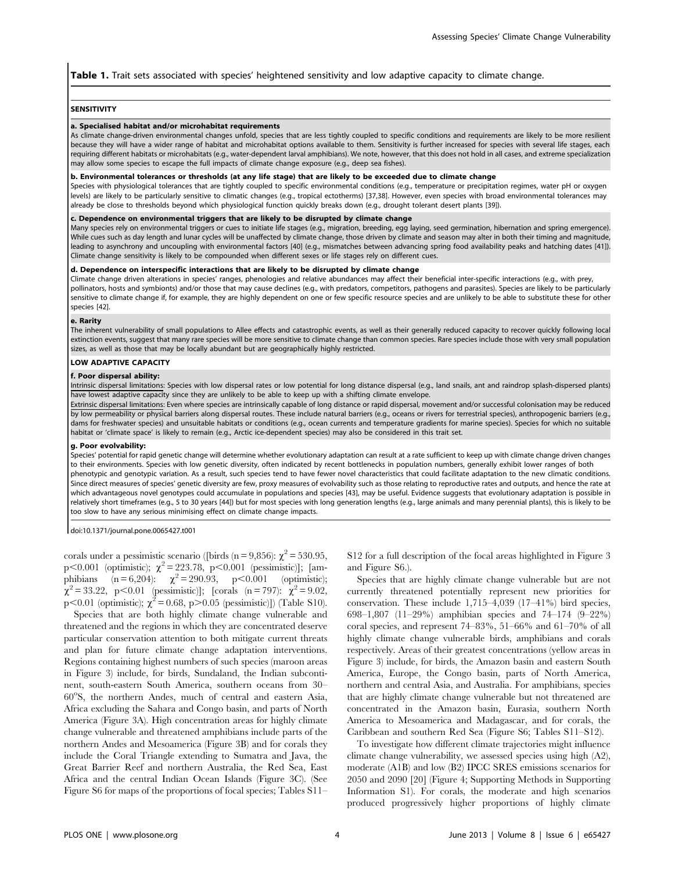## Table 1. Trait sets associated with species' heightened sensitivity and low adaptive capacity to climate change.

#### **SENSITIVITY**

## a. Specialised habitat and/or microhabitat requirements

As climate change-driven environmental changes unfold, species that are less tightly coupled to specific conditions and requirements are likely to be more resilient because they will have a wider range of habitat and microhabitat options available to them. Sensitivity is further increased for species with several life stages, each requiring different habitats or microhabitats (e.g., water-dependent larval amphibians). We note, however, that this does not hold in all cases, and extreme specialization may allow some species to escape the full impacts of climate change exposure (e.g., deep sea fishes).

#### b. Environmental tolerances or thresholds (at any life stage) that are likely to be exceeded due to climate change

Species with physiological tolerances that are tightly coupled to specific environmental conditions (e.g., temperature or precipitation regimes, water pH or oxygen levels) are likely to be particularly sensitive to climatic changes (e.g., tropical ectotherms) [37,38]. However, even species with broad environmental tolerances may already be close to thresholds beyond which physiological function quickly breaks down (e.g., drought tolerant desert plants [39]).

# c. Dependence on environmental triggers that are likely to be disrupted by climate change

Many species rely on environmental triggers or cues to initiate life stages (e.g., migration, breeding, egg laying, seed germination, hibernation and spring emergence). While cues such as day length and lunar cycles will be unaffected by climate change, those driven by climate and season may alter in both their timing and magnitude, leading to asynchrony and uncoupling with environmental factors [40] (e.g., mismatches between advancing spring food availability peaks and hatching dates [41]). Climate change sensitivity is likely to be compounded when different sexes or life stages rely on different cues.

#### d. Dependence on interspecific interactions that are likely to be disrupted by climate change

Climate change driven alterations in species' ranges, phenologies and relative abundances may affect their beneficial inter-specific interactions (e.g., with prey, pollinators, hosts and symbionts) and/or those that may cause declines (e.g., with predators, competitors, pathogens and parasites). Species are likely to be particularly sensitive to climate change if, for example, they are highly dependent on one or few specific resource species and are unlikely to be able to substitute these for other species [42].

#### e. Rarity

The inherent vulnerability of small populations to Allee effects and catastrophic events, as well as their generally reduced capacity to recover quickly following local extinction events, suggest that many rare species will be more sensitive to climate change than common species. Rare species include those with very small population sizes, as well as those that may be locally abundant but are geographically highly restricted.

## LOW ADAPTIVE CAPACITY

#### f. Poor dispersal ability:

Intrinsic dispersal limitations: Species with low dispersal rates or low potential for long distance dispersal (e.g., land snails, ant and raindrop splash-dispersed plants) have lowest adaptive capacity since they are unlikely to be able to keep up with a shifting climate envelope.

Extrinsic dispersal limitations: Even where species are intrinsically capable of long distance or rapid dispersal, movement and/or successful colonisation may be reduced by low permeability or physical barriers along dispersal routes. These include natural barriers (e.g., oceans or rivers for terrestrial species), anthropogenic barriers (e.g., dams for freshwater species) and unsuitable habitats or conditions (e.g., ocean currents and temperature gradients for marine species). Species for which no suitable habitat or 'climate space' is likely to remain (e.g., Arctic ice-dependent species) may also be considered in this trait set.

#### g. Poor evolvability:

Species' potential for rapid genetic change will determine whether evolutionary adaptation can result at a rate sufficient to keep up with climate change driven changes to their environments. Species with low genetic diversity, often indicated by recent bottlenecks in population numbers, generally exhibit lower ranges of both phenotypic and genotypic variation. As a result, such species tend to have fewer novel characteristics that could facilitate adaptation to the new climatic conditions. Since direct measures of species' genetic diversity are few, proxy measures of evolvability such as those relating to reproductive rates and outputs, and hence the rate at which advantageous novel genotypes could accumulate in populations and species [43], may be useful. Evidence suggests that evolutionary adaptation is possible in relatively short timeframes (e.g., 5 to 30 years [44]) but for most species with long generation lengths (e.g., large animals and many perennial plants), this is likely to be too slow to have any serious minimising effect on climate change impacts.

doi:10.1371/journal.pone.0065427.t001

corals under a pessimistic scenario ([birds (n = 9,856):  $\chi^2$  = 530.95, p<0.001 (optimistic);  $\chi^2$  = 223.78, p<0.001 (pessimistic)]; [amphibians  $(n = 6,204)$ :  $\chi^2 = 290.93$ ,  $p < 0.001$  (optimistic);  $\chi^2$  = 33.22, p<0.01 (pessimistic)]; [corals (n = 797):  $\chi^2$  = 9.02, p $0.01$  (optimistic);  $\chi^2 = 0.68$ , p $> 0.05$  (pessimistic)]) (Table S10).

Species that are both highly climate change vulnerable and threatened and the regions in which they are concentrated deserve particular conservation attention to both mitigate current threats and plan for future climate change adaptation interventions. Regions containing highest numbers of such species (maroon areas in Figure 3) include, for birds, Sundaland, the Indian subcontinent, south-eastern South America, southern oceans from 30– 60°S, the northern Andes, much of central and eastern Asia, Africa excluding the Sahara and Congo basin, and parts of North America (Figure 3A). High concentration areas for highly climate change vulnerable and threatened amphibians include parts of the northern Andes and Mesoamerica (Figure 3B) and for corals they include the Coral Triangle extending to Sumatra and Java, the Great Barrier Reef and northern Australia, the Red Sea, East Africa and the central Indian Ocean Islands (Figure 3C). (See Figure S6 for maps of the proportions of focal species; Tables S11–

S12 for a full description of the focal areas highlighted in Figure 3 and Figure S6.).

Species that are highly climate change vulnerable but are not currently threatened potentially represent new priorities for conservation. These include 1,715–4,039 (17–41%) bird species, 698–1,807 (11–29%) amphibian species and 74–174 (9–22%) coral species, and represent 74–83%, 51–66% and 61–70% of all highly climate change vulnerable birds, amphibians and corals respectively. Areas of their greatest concentrations (yellow areas in Figure 3) include, for birds, the Amazon basin and eastern South America, Europe, the Congo basin, parts of North America, northern and central Asia, and Australia. For amphibians, species that are highly climate change vulnerable but not threatened are concentrated in the Amazon basin, Eurasia, southern North America to Mesoamerica and Madagascar, and for corals, the Caribbean and southern Red Sea (Figure S6; Tables S11–S12).

To investigate how different climate trajectories might influence climate change vulnerability, we assessed species using high (A2), moderate (A1B) and low (B2) IPCC SRES emissions scenarios for 2050 and 2090 [20] (Figure 4; Supporting Methods in Supporting Information S1). For corals, the moderate and high scenarios produced progressively higher proportions of highly climate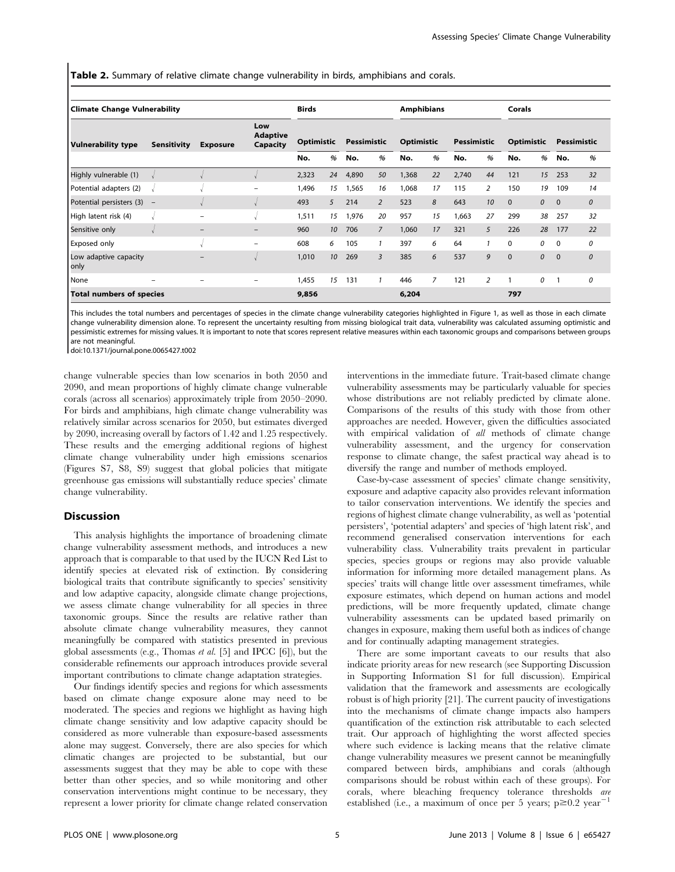Table 2. Summary of relative climate change vulnerability in birds, amphibians and corals.

| <b>Climate Change Vulnerability</b> |                    |                          |                                    | <b>Birds</b>      |    |             | <b>Amphibians</b> |                   |                |             | Corals |                   |               |             |    |
|-------------------------------------|--------------------|--------------------------|------------------------------------|-------------------|----|-------------|-------------------|-------------------|----------------|-------------|--------|-------------------|---------------|-------------|----|
| <b>Vulnerability type</b>           | <b>Sensitivity</b> | <b>Exposure</b>          | Low<br><b>Adaptive</b><br>Capacity | <b>Optimistic</b> |    | Pessimistic |                   | <b>Optimistic</b> |                | Pessimistic |        | <b>Optimistic</b> |               | Pessimistic |    |
|                                     |                    |                          |                                    | No.               | %  | No.         | %                 | No.               | %              | No.         | %      | No.               | %             | No.         | %  |
| Highly vulnerable (1)               |                    |                          |                                    | 2,323             | 24 | 4,890       | 50                | 1,368             | 22             | 2,740       | 44     | 121               | 15            | 253         | 32 |
| Potential adapters (2)              |                    |                          | -                                  | 1,496             | 15 | 1,565       | 16                | 1,068             | 17             | 115         | 2      | 150               | 19            | 109         | 14 |
| Potential persisters (3)            | $\sim$             |                          |                                    | 493               | 5  | 214         | $\overline{2}$    | 523               | 8              | 643         | 10     | $\mathbf{0}$      | $\mathcal{O}$ | $\mathbf 0$ | 0  |
| High latent risk (4)                |                    | $\overline{\phantom{0}}$ |                                    | 1,511             | 15 | 1,976       | 20                | 957               | 15             | 1,663       | 27     | 299               | 38            | 257         | 32 |
| Sensitive only                      |                    | $\qquad \qquad -$        | -                                  | 960               | 10 | 706         | $\overline{7}$    | 1,060             | 17             | 321         | 5      | 226               | 28            | 177         | 22 |
| <b>Exposed only</b>                 |                    |                          | -                                  | 608               | 6  | 105         |                   | 397               | 6              | 64          |        | 0                 | 0             | $\mathbf 0$ | 0  |
| Low adaptive capacity<br>  only     |                    | $\overline{\phantom{0}}$ |                                    | 1,010             | 10 | 269         | 3                 | 385               | 6              | 537         | 9      | $\mathbf{0}$      | $\mathcal{O}$ | $\mathbf 0$ | 0  |
| None                                |                    | $\overline{\phantom{0}}$ | -                                  | 1,455             | 15 | 131         |                   | 446               | $\overline{7}$ | 121         | 2      |                   | 0             |             | 0  |
| <b>Total numbers of species</b>     |                    |                          | 9,856                              |                   |    |             | 6,204             |                   |                |             | 797    |                   |               |             |    |

This includes the total numbers and percentages of species in the climate change vulnerability categories highlighted in Figure 1, as well as those in each climate change vulnerability dimension alone. To represent the uncertainty resulting from missing biological trait data, vulnerability was calculated assuming optimistic and pessimistic extremes for missing values. It is important to note that scores represent relative measures within each taxonomic groups and comparisons between groups are not meaningful.

doi:10.1371/journal.pone.0065427.t002

change vulnerable species than low scenarios in both 2050 and 2090, and mean proportions of highly climate change vulnerable corals (across all scenarios) approximately triple from 2050–2090. For birds and amphibians, high climate change vulnerability was relatively similar across scenarios for 2050, but estimates diverged by 2090, increasing overall by factors of 1.42 and 1.25 respectively. These results and the emerging additional regions of highest climate change vulnerability under high emissions scenarios (Figures S7, S8, S9) suggest that global policies that mitigate greenhouse gas emissions will substantially reduce species' climate change vulnerability.

## Discussion

This analysis highlights the importance of broadening climate change vulnerability assessment methods, and introduces a new approach that is comparable to that used by the IUCN Red List to identify species at elevated risk of extinction. By considering biological traits that contribute significantly to species' sensitivity and low adaptive capacity, alongside climate change projections, we assess climate change vulnerability for all species in three taxonomic groups. Since the results are relative rather than absolute climate change vulnerability measures, they cannot meaningfully be compared with statistics presented in previous global assessments (e.g., Thomas et al. [5] and IPCC [6]), but the considerable refinements our approach introduces provide several important contributions to climate change adaptation strategies.

Our findings identify species and regions for which assessments based on climate change exposure alone may need to be moderated. The species and regions we highlight as having high climate change sensitivity and low adaptive capacity should be considered as more vulnerable than exposure-based assessments alone may suggest. Conversely, there are also species for which climatic changes are projected to be substantial, but our assessments suggest that they may be able to cope with these better than other species, and so while monitoring and other conservation interventions might continue to be necessary, they represent a lower priority for climate change related conservation interventions in the immediate future. Trait-based climate change vulnerability assessments may be particularly valuable for species whose distributions are not reliably predicted by climate alone. Comparisons of the results of this study with those from other approaches are needed. However, given the difficulties associated with empirical validation of all methods of climate change vulnerability assessment, and the urgency for conservation response to climate change, the safest practical way ahead is to diversify the range and number of methods employed.

Case-by-case assessment of species' climate change sensitivity, exposure and adaptive capacity also provides relevant information to tailor conservation interventions. We identify the species and regions of highest climate change vulnerability, as well as 'potential persisters', 'potential adapters' and species of 'high latent risk', and recommend generalised conservation interventions for each vulnerability class. Vulnerability traits prevalent in particular species, species groups or regions may also provide valuable information for informing more detailed management plans. As species' traits will change little over assessment timeframes, while exposure estimates, which depend on human actions and model predictions, will be more frequently updated, climate change vulnerability assessments can be updated based primarily on changes in exposure, making them useful both as indices of change and for continually adapting management strategies.

There are some important caveats to our results that also indicate priority areas for new research (see Supporting Discussion in Supporting Information S1 for full discussion). Empirical validation that the framework and assessments are ecologically robust is of high priority [21]. The current paucity of investigations into the mechanisms of climate change impacts also hampers quantification of the extinction risk attributable to each selected trait. Our approach of highlighting the worst affected species where such evidence is lacking means that the relative climate change vulnerability measures we present cannot be meaningfully compared between birds, amphibians and corals (although comparisons should be robust within each of these groups). For corals, where bleaching frequency tolerance thresholds are established (i.e., a maximum of once per 5 years;  $p \ge 0.2$  year<sup>-</sup>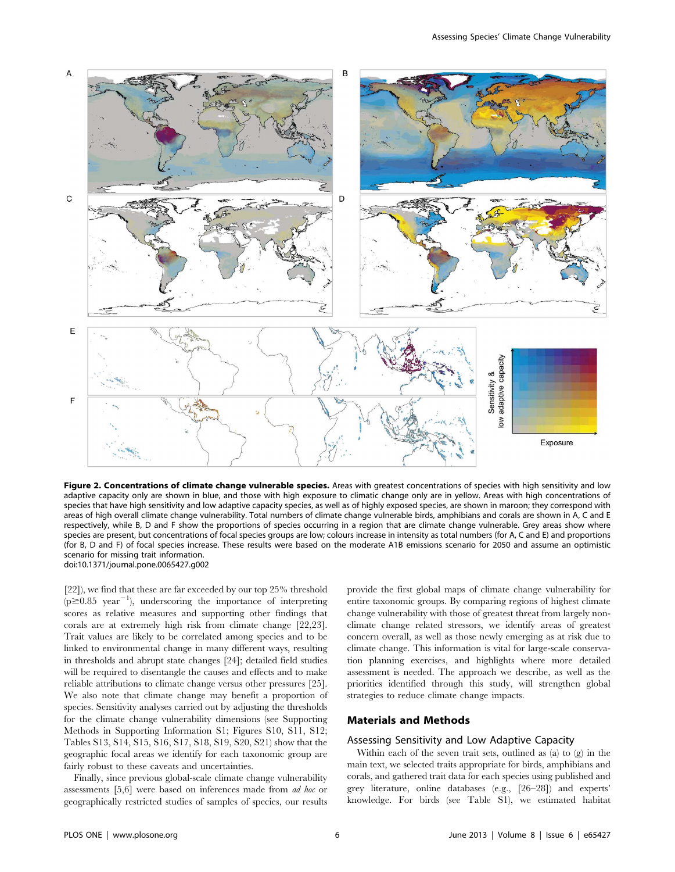

Figure 2. Concentrations of climate change vulnerable species. Areas with greatest concentrations of species with high sensitivity and low adaptive capacity only are shown in blue, and those with high exposure to climatic change only are in yellow. Areas with high concentrations of species that have high sensitivity and low adaptive capacity species, as well as of highly exposed species, are shown in maroon; they correspond with areas of high overall climate change vulnerability. Total numbers of climate change vulnerable birds, amphibians and corals are shown in A, C and E respectively, while B, D and F show the proportions of species occurring in a region that are climate change vulnerable. Grey areas show where species are present, but concentrations of focal species groups are low; colours increase in intensity as total numbers (for A, C and E) and proportions (for B, D and F) of focal species increase. These results were based on the moderate A1B emissions scenario for 2050 and assume an optimistic scenario for missing trait information. doi:10.1371/journal.pone.0065427.g002

[22]), we find that these are far exceeded by our top 25% threshold  $(p \ge 0.85 \text{ year}^{-1})$ , underscoring the importance of interpreting scores as relative measures and supporting other findings that corals are at extremely high risk from climate change [22,23]. Trait values are likely to be correlated among species and to be linked to environmental change in many different ways, resulting in thresholds and abrupt state changes [24]; detailed field studies will be required to disentangle the causes and effects and to make reliable attributions to climate change versus other pressures [25]. We also note that climate change may benefit a proportion of species. Sensitivity analyses carried out by adjusting the thresholds for the climate change vulnerability dimensions (see Supporting Methods in Supporting Information S1; Figures S10, S11, S12; Tables S13, S14, S15, S16, S17, S18, S19, S20, S21) show that the geographic focal areas we identify for each taxonomic group are fairly robust to these caveats and uncertainties.

Finally, since previous global-scale climate change vulnerability assessments [5,6] were based on inferences made from ad hoc or geographically restricted studies of samples of species, our results provide the first global maps of climate change vulnerability for entire taxonomic groups. By comparing regions of highest climate change vulnerability with those of greatest threat from largely nonclimate change related stressors, we identify areas of greatest concern overall, as well as those newly emerging as at risk due to climate change. This information is vital for large-scale conservation planning exercises, and highlights where more detailed assessment is needed. The approach we describe, as well as the priorities identified through this study, will strengthen global strategies to reduce climate change impacts.

## Materials and Methods

## Assessing Sensitivity and Low Adaptive Capacity

Within each of the seven trait sets, outlined as (a) to (g) in the main text, we selected traits appropriate for birds, amphibians and corals, and gathered trait data for each species using published and grey literature, online databases (e.g., [26–28]) and experts' knowledge. For birds (see Table S1), we estimated habitat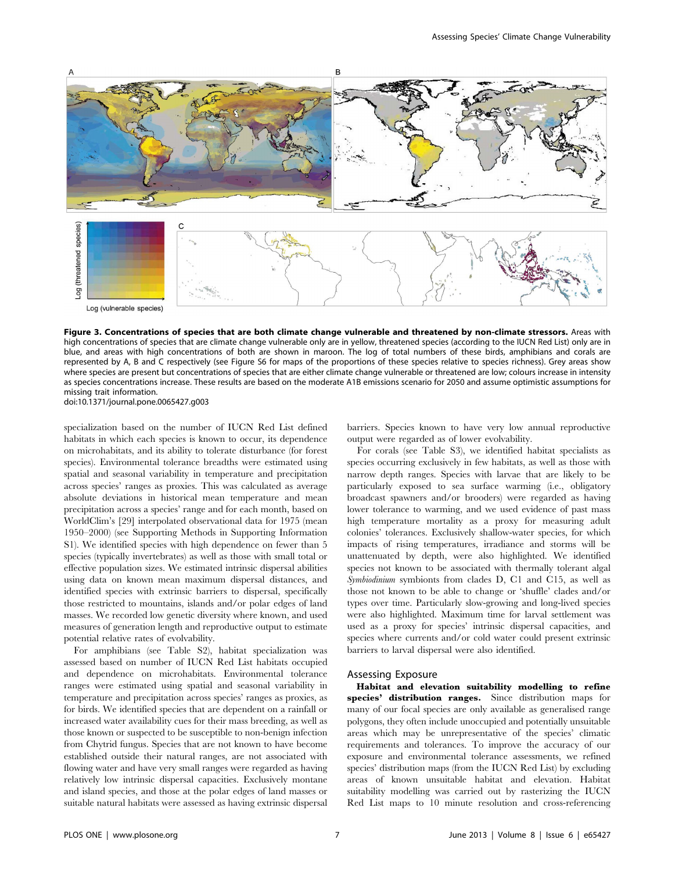

Figure 3. Concentrations of species that are both climate change vulnerable and threatened by non-climate stressors. Areas with high concentrations of species that are climate change vulnerable only are in yellow, threatened species (according to the IUCN Red List) only are in blue, and areas with high concentrations of both are shown in maroon. The log of total numbers of these birds, amphibians and corals are represented by A, B and C respectively (see Figure S6 for maps of the proportions of these species relative to species richness). Grey areas show where species are present but concentrations of species that are either climate change vulnerable or threatened are low; colours increase in intensity as species concentrations increase. These results are based on the moderate A1B emissions scenario for 2050 and assume optimistic assumptions for missing trait information. doi:10.1371/journal.pone.0065427.g003

specialization based on the number of IUCN Red List defined habitats in which each species is known to occur, its dependence on microhabitats, and its ability to tolerate disturbance (for forest species). Environmental tolerance breadths were estimated using spatial and seasonal variability in temperature and precipitation across species' ranges as proxies. This was calculated as average absolute deviations in historical mean temperature and mean precipitation across a species' range and for each month, based on WorldClim's [29] interpolated observational data for 1975 (mean 1950–2000) (see Supporting Methods in Supporting Information S1). We identified species with high dependence on fewer than 5 species (typically invertebrates) as well as those with small total or effective population sizes. We estimated intrinsic dispersal abilities using data on known mean maximum dispersal distances, and identified species with extrinsic barriers to dispersal, specifically those restricted to mountains, islands and/or polar edges of land masses. We recorded low genetic diversity where known, and used measures of generation length and reproductive output to estimate potential relative rates of evolvability.

For amphibians (see Table S2), habitat specialization was assessed based on number of IUCN Red List habitats occupied and dependence on microhabitats. Environmental tolerance ranges were estimated using spatial and seasonal variability in temperature and precipitation across species' ranges as proxies, as for birds. We identified species that are dependent on a rainfall or increased water availability cues for their mass breeding, as well as those known or suspected to be susceptible to non-benign infection from Chytrid fungus. Species that are not known to have become established outside their natural ranges, are not associated with flowing water and have very small ranges were regarded as having relatively low intrinsic dispersal capacities. Exclusively montane and island species, and those at the polar edges of land masses or suitable natural habitats were assessed as having extrinsic dispersal barriers. Species known to have very low annual reproductive output were regarded as of lower evolvability.

For corals (see Table S3), we identified habitat specialists as species occurring exclusively in few habitats, as well as those with narrow depth ranges. Species with larvae that are likely to be particularly exposed to sea surface warming (i.e., obligatory broadcast spawners and/or brooders) were regarded as having lower tolerance to warming, and we used evidence of past mass high temperature mortality as a proxy for measuring adult colonies' tolerances. Exclusively shallow-water species, for which impacts of rising temperatures, irradiance and storms will be unattenuated by depth, were also highlighted. We identified species not known to be associated with thermally tolerant algal Symbiodinium symbionts from clades D, C1 and C15, as well as those not known to be able to change or 'shuffle' clades and/or types over time. Particularly slow-growing and long-lived species were also highlighted. Maximum time for larval settlement was used as a proxy for species' intrinsic dispersal capacities, and species where currents and/or cold water could present extrinsic barriers to larval dispersal were also identified.

## Assessing Exposure

Habitat and elevation suitability modelling to refine species' distribution ranges. Since distribution maps for many of our focal species are only available as generalised range polygons, they often include unoccupied and potentially unsuitable areas which may be unrepresentative of the species' climatic requirements and tolerances. To improve the accuracy of our exposure and environmental tolerance assessments, we refined species' distribution maps (from the IUCN Red List) by excluding areas of known unsuitable habitat and elevation. Habitat suitability modelling was carried out by rasterizing the IUCN Red List maps to 10 minute resolution and cross-referencing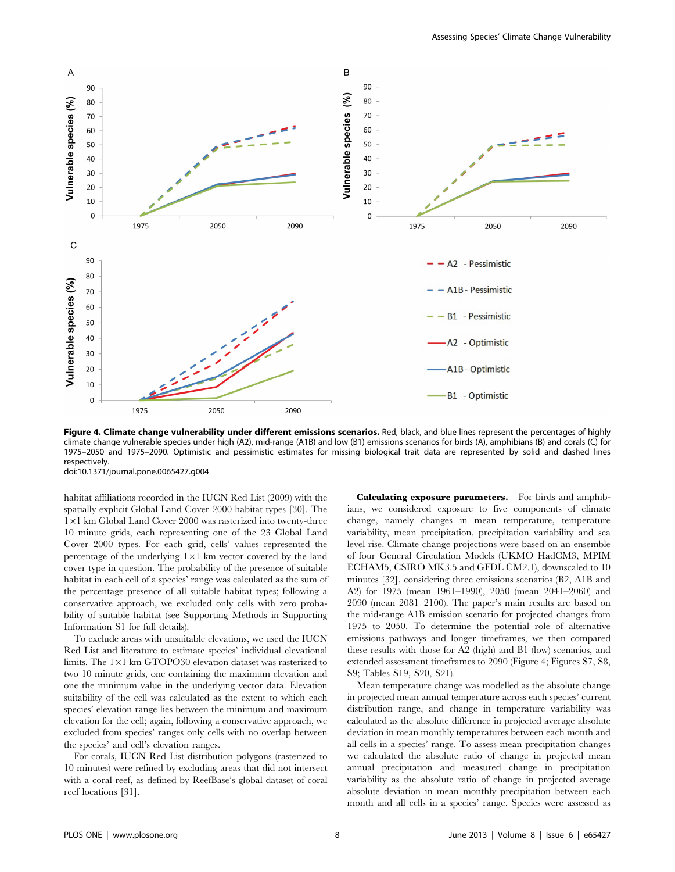

Figure 4. Climate change vulnerability under different emissions scenarios. Red, black, and blue lines represent the percentages of highly climate change vulnerable species under high (A2), mid-range (A1B) and low (B1) emissions scenarios for birds (A), amphibians (B) and corals (C) for 1975–2050 and 1975–2090. Optimistic and pessimistic estimates for missing biological trait data are represented by solid and dashed lines respectively.

doi:10.1371/journal.pone.0065427.g004

habitat affiliations recorded in the IUCN Red List (2009) with the spatially explicit Global Land Cover 2000 habitat types [30]. The  $1\times1$  km Global Land Cover 2000 was rasterized into twenty-three 10 minute grids, each representing one of the 23 Global Land Cover 2000 types. For each grid, cells' values represented the percentage of the underlying  $1\times1$  km vector covered by the land cover type in question. The probability of the presence of suitable habitat in each cell of a species' range was calculated as the sum of the percentage presence of all suitable habitat types; following a conservative approach, we excluded only cells with zero probability of suitable habitat (see Supporting Methods in Supporting Information S1 for full details).

To exclude areas with unsuitable elevations, we used the IUCN Red List and literature to estimate species' individual elevational limits. The  $1\times1$  km GTOPO30 elevation dataset was rasterized to two 10 minute grids, one containing the maximum elevation and one the minimum value in the underlying vector data. Elevation suitability of the cell was calculated as the extent to which each species' elevation range lies between the minimum and maximum elevation for the cell; again, following a conservative approach, we excluded from species' ranges only cells with no overlap between the species' and cell's elevation ranges.

For corals, IUCN Red List distribution polygons (rasterized to 10 minutes) were refined by excluding areas that did not intersect with a coral reef, as defined by ReefBase's global dataset of coral reef locations [31].

Calculating exposure parameters. For birds and amphibians, we considered exposure to five components of climate change, namely changes in mean temperature, temperature variability, mean precipitation, precipitation variability and sea level rise. Climate change projections were based on an ensemble of four General Circulation Models (UKMO HadCM3, MPIM ECHAM5, CSIRO MK3.5 and GFDL CM2.1), downscaled to 10 minutes [32], considering three emissions scenarios (B2, A1B and A2) for 1975 (mean 1961–1990), 2050 (mean 2041–2060) and 2090 (mean 2081–2100). The paper's main results are based on the mid-range A1B emission scenario for projected changes from 1975 to 2050. To determine the potential role of alternative emissions pathways and longer timeframes, we then compared these results with those for A2 (high) and B1 (low) scenarios, and extended assessment timeframes to 2090 (Figure 4; Figures S7, S8, S9; Tables S19, S20, S21).

Mean temperature change was modelled as the absolute change in projected mean annual temperature across each species' current distribution range, and change in temperature variability was calculated as the absolute difference in projected average absolute deviation in mean monthly temperatures between each month and all cells in a species' range. To assess mean precipitation changes we calculated the absolute ratio of change in projected mean annual precipitation and measured change in precipitation variability as the absolute ratio of change in projected average absolute deviation in mean monthly precipitation between each month and all cells in a species' range. Species were assessed as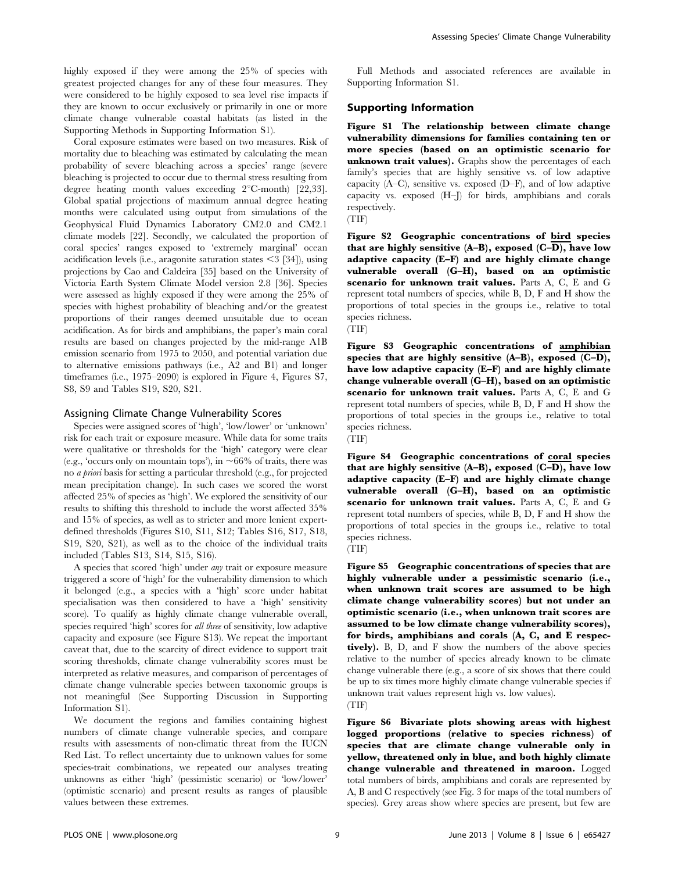highly exposed if they were among the 25% of species with greatest projected changes for any of these four measures. They were considered to be highly exposed to sea level rise impacts if they are known to occur exclusively or primarily in one or more climate change vulnerable coastal habitats (as listed in the Supporting Methods in Supporting Information S1).

Coral exposure estimates were based on two measures. Risk of mortality due to bleaching was estimated by calculating the mean probability of severe bleaching across a species' range (severe bleaching is projected to occur due to thermal stress resulting from degree heating month values exceeding  $2^{\circ}$ C-month) [22,33]. Global spatial projections of maximum annual degree heating months were calculated using output from simulations of the Geophysical Fluid Dynamics Laboratory CM2.0 and CM2.1 climate models [22]. Secondly, we calculated the proportion of coral species' ranges exposed to 'extremely marginal' ocean acidification levels (i.e., aragonite saturation states  $\leq$  3 [34]), using projections by Cao and Caldeira [35] based on the University of Victoria Earth System Climate Model version 2.8 [36]. Species were assessed as highly exposed if they were among the 25% of species with highest probability of bleaching and/or the greatest proportions of their ranges deemed unsuitable due to ocean acidification. As for birds and amphibians, the paper's main coral results are based on changes projected by the mid-range A1B emission scenario from 1975 to 2050, and potential variation due to alternative emissions pathways (i.e., A2 and B1) and longer timeframes (i.e., 1975–2090) is explored in Figure 4, Figures S7, S8, S9 and Tables S19, S20, S21.

## Assigning Climate Change Vulnerability Scores

Species were assigned scores of 'high', 'low/lower' or 'unknown' risk for each trait or exposure measure. While data for some traits were qualitative or thresholds for the 'high' category were clear (e.g., 'occurs only on mountain tops'), in  $\sim66\%$  of traits, there was no a priori basis for setting a particular threshold (e.g., for projected mean precipitation change). In such cases we scored the worst affected 25% of species as 'high'. We explored the sensitivity of our results to shifting this threshold to include the worst affected 35% and 15% of species, as well as to stricter and more lenient expertdefined thresholds (Figures S10, S11, S12; Tables S16, S17, S18, S19, S20, S21), as well as to the choice of the individual traits included (Tables S13, S14, S15, S16).

A species that scored 'high' under any trait or exposure measure triggered a score of 'high' for the vulnerability dimension to which it belonged (e.g., a species with a 'high' score under habitat specialisation was then considered to have a 'high' sensitivity score). To qualify as highly climate change vulnerable overall, species required 'high' scores for all three of sensitivity, low adaptive capacity and exposure (see Figure S13). We repeat the important caveat that, due to the scarcity of direct evidence to support trait scoring thresholds, climate change vulnerability scores must be interpreted as relative measures, and comparison of percentages of climate change vulnerable species between taxonomic groups is not meaningful (See Supporting Discussion in Supporting Information S1).

We document the regions and families containing highest numbers of climate change vulnerable species, and compare results with assessments of non-climatic threat from the IUCN Red List. To reflect uncertainty due to unknown values for some species-trait combinations, we repeated our analyses treating unknowns as either 'high' (pessimistic scenario) or 'low/lower' (optimistic scenario) and present results as ranges of plausible values between these extremes.

Full Methods and associated references are available in Supporting Information S1.

## Supporting Information

Figure S1 The relationship between climate change vulnerability dimensions for families containing ten or more species (based on an optimistic scenario for unknown trait values). Graphs show the percentages of each family's species that are highly sensitive vs. of low adaptive capacity (A–C), sensitive vs. exposed (D–F), and of low adaptive capacity vs. exposed (H–J) for birds, amphibians and corals respectively.

Figure S2 Geographic concentrations of bird species that are highly sensitive  $(A-B)$ , exposed  $(C-D)$ , have low adaptive capacity (E–F) and are highly climate change vulnerable overall (G–H), based on an optimistic scenario for unknown trait values. Parts A, C, E and G represent total numbers of species, while B, D, F and H show the proportions of total species in the groups i.e., relative to total species richness.



Figure S3 Geographic concentrations of amphibian species that are highly sensitive (A–B), exposed (C–D), have low adaptive capacity (E–F) and are highly climate change vulnerable overall (G–H), based on an optimistic scenario for unknown trait values. Parts A, C, E and G represent total numbers of species, while B, D, F and H show the proportions of total species in the groups i.e., relative to total species richness.

(TIF)

Figure S4 Geographic concentrations of coral species that are highly sensitive  $(A-B)$ , exposed  $(C-D)$ , have low adaptive capacity (E–F) and are highly climate change vulnerable overall (G–H), based on an optimistic scenario for unknown trait values. Parts A, C, E and G represent total numbers of species, while B, D, F and H show the proportions of total species in the groups i.e., relative to total species richness.

Figure S5 Geographic concentrations of species that are highly vulnerable under a pessimistic scenario (i.e., when unknown trait scores are assumed to be high climate change vulnerability scores) but not under an optimistic scenario (i.e., when unknown trait scores are assumed to be low climate change vulnerability scores), for birds, amphibians and corals (A, C, and E respectively). B, D, and F show the numbers of the above species relative to the number of species already known to be climate change vulnerable there (e.g., a score of six shows that there could be up to six times more highly climate change vulnerable species if unknown trait values represent high vs. low values). (TIF)

Figure S6 Bivariate plots showing areas with highest logged proportions (relative to species richness) of species that are climate change vulnerable only in yellow, threatened only in blue, and both highly climate change vulnerable and threatened in maroon. Logged total numbers of birds, amphibians and corals are represented by A, B and C respectively (see Fig. 3 for maps of the total numbers of species). Grey areas show where species are present, but few are

<sup>(</sup>TIF)

<sup>(</sup>TIF)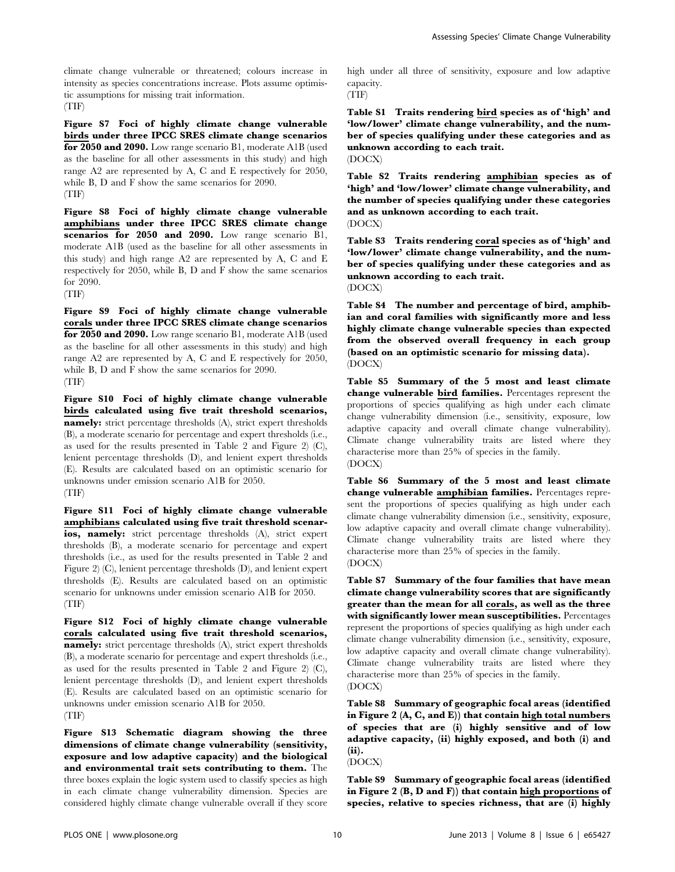climate change vulnerable or threatened; colours increase in intensity as species concentrations increase. Plots assume optimistic assumptions for missing trait information. (TIF)

Figure S7 Foci of highly climate change vulnerable birds under three IPCC SRES climate change scenarios for 2050 and 2090. Low range scenario B1, moderate A1B (used as the baseline for all other assessments in this study) and high range A2 are represented by A, C and E respectively for 2050, while B, D and F show the same scenarios for 2090. (TIF)

Figure S8 Foci of highly climate change vulnerable amphibians under three IPCC SRES climate change scenarios for 2050 and 2090. Low range scenario B1, moderate A1B (used as the baseline for all other assessments in this study) and high range A2 are represented by A, C and E respectively for 2050, while B, D and F show the same scenarios for 2090.

(TIF)

Figure S9 Foci of highly climate change vulnerable corals under three IPCC SRES climate change scenarios for 2050 and 2090. Low range scenario B1, moderate A1B (used as the baseline for all other assessments in this study) and high range A2 are represented by A, C and E respectively for 2050, while B, D and F show the same scenarios for 2090. (TIF)

Figure S10 Foci of highly climate change vulnerable birds calculated using five trait threshold scenarios, namely: strict percentage thresholds (A), strict expert thresholds (B), a moderate scenario for percentage and expert thresholds (i.e., as used for the results presented in Table 2 and Figure 2) (C), lenient percentage thresholds (D), and lenient expert thresholds (E). Results are calculated based on an optimistic scenario for unknowns under emission scenario A1B for 2050. (TIF)

Figure S11 Foci of highly climate change vulnerable amphibians calculated using five trait threshold scenarios, namely: strict percentage thresholds (A), strict expert thresholds (B), a moderate scenario for percentage and expert thresholds (i.e., as used for the results presented in Table 2 and Figure 2) (C), lenient percentage thresholds (D), and lenient expert thresholds (E). Results are calculated based on an optimistic scenario for unknowns under emission scenario A1B for 2050. (TIF)

Figure S12 Foci of highly climate change vulnerable corals calculated using five trait threshold scenarios, namely: strict percentage thresholds (A), strict expert thresholds (B), a moderate scenario for percentage and expert thresholds (i.e., as used for the results presented in Table 2 and Figure 2) (C), lenient percentage thresholds (D), and lenient expert thresholds (E). Results are calculated based on an optimistic scenario for unknowns under emission scenario A1B for 2050. (TIF)

Figure S13 Schematic diagram showing the three dimensions of climate change vulnerability (sensitivity, exposure and low adaptive capacity) and the biological and environmental trait sets contributing to them. The three boxes explain the logic system used to classify species as high in each climate change vulnerability dimension. Species are considered highly climate change vulnerable overall if they score

high under all three of sensitivity, exposure and low adaptive capacity.

(TIF)

Table S1 Traits rendering bird species as of 'high' and 'low/lower' climate change vulnerability, and the number of species qualifying under these categories and as unknown according to each trait. (DOCX)

Table S2 Traits rendering amphibian species as of 'high' and 'low/lower' climate change vulnerability, and the number of species qualifying under these categories and as unknown according to each trait.

(DOCX)

Table S3 Traits rendering coral species as of 'high' and 'low/lower' climate change vulnerability, and the number of species qualifying under these categories and as unknown according to each trait. (DOCX)

Table S4 The number and percentage of bird, amphibian and coral families with significantly more and less highly climate change vulnerable species than expected from the observed overall frequency in each group (based on an optimistic scenario for missing data). (DOCX)

Table S5 Summary of the 5 most and least climate change vulnerable bird families. Percentages represent the proportions of species qualifying as high under each climate change vulnerability dimension (i.e., sensitivity, exposure, low adaptive capacity and overall climate change vulnerability). Climate change vulnerability traits are listed where they characterise more than 25% of species in the family. (DOCX)

Table S6 Summary of the 5 most and least climate change vulnerable amphibian families. Percentages represent the proportions of species qualifying as high under each climate change vulnerability dimension (i.e., sensitivity, exposure, low adaptive capacity and overall climate change vulnerability). Climate change vulnerability traits are listed where they characterise more than 25% of species in the family. (DOCX)

Table S7 Summary of the four families that have mean climate change vulnerability scores that are significantly greater than the mean for all corals, as well as the three with significantly lower mean susceptibilities. Percentages represent the proportions of species qualifying as high under each climate change vulnerability dimension (i.e., sensitivity, exposure, low adaptive capacity and overall climate change vulnerability). Climate change vulnerability traits are listed where they characterise more than 25% of species in the family. (DOCX)

Table S8 Summary of geographic focal areas (identified in Figure 2 (A, C, and E)) that contain high total numbers of species that are (i) highly sensitive and of low adaptive capacity, (ii) highly exposed, and both (i) and (ii).

(DOCX)

Table S9 Summary of geographic focal areas (identified in Figure 2 (B, D and F)) that contain high proportions of species, relative to species richness, that are (i) highly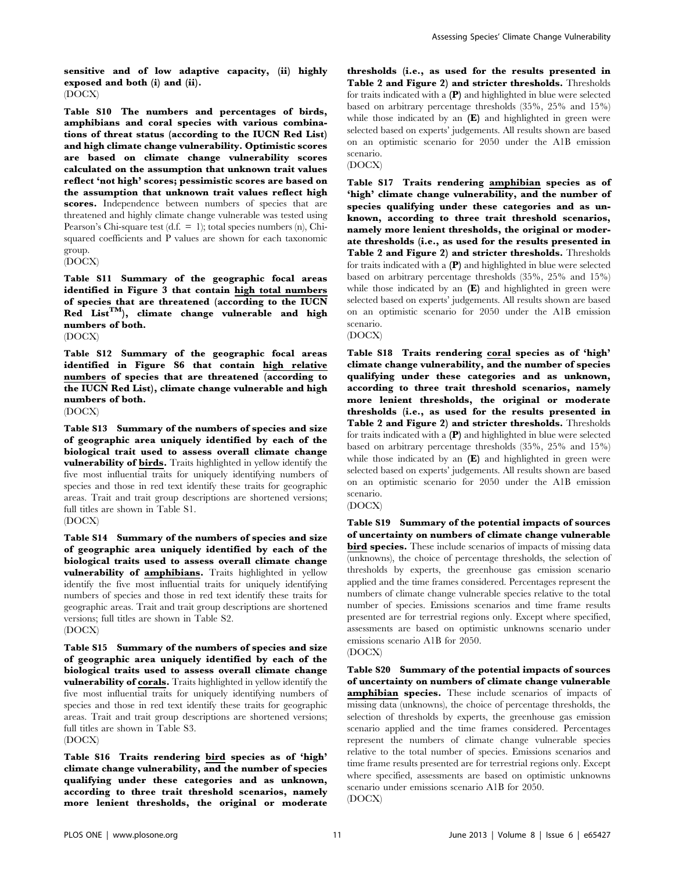sensitive and of low adaptive capacity, (ii) highly exposed and both (i) and (ii). (DOCX)

Table S10 The numbers and percentages of birds, amphibians and coral species with various combinations of threat status (according to the IUCN Red List) and high climate change vulnerability. Optimistic scores are based on climate change vulnerability scores calculated on the assumption that unknown trait values reflect 'not high' scores; pessimistic scores are based on the assumption that unknown trait values reflect high scores. Independence between numbers of species that are threatened and highly climate change vulnerable was tested using Pearson's Chi-square test (d.f.  $= 1$ ); total species numbers (n), Chisquared coefficients and P values are shown for each taxonomic group.

(DOCX)

Table S11 Summary of the geographic focal areas identified in Figure 3 that contain high total numbers of species that are threatened (according to the IUCN  $Red$  List<sup>TM</sup>), climate change vulnerable and high numbers of both.

(DOCX)

Table S12 Summary of the geographic focal areas identified in Figure S6 that contain high relative numbers of species that are threatened (according to the IUCN Red List), climate change vulnerable and high numbers of both.

(DOCX)

Table S13 Summary of the numbers of species and size of geographic area uniquely identified by each of the biological trait used to assess overall climate change vulnerability of birds. Traits highlighted in yellow identify the five most influential traits for uniquely identifying numbers of species and those in red text identify these traits for geographic areas. Trait and trait group descriptions are shortened versions; full titles are shown in Table S1.

## (DOCX)

Table S14 Summary of the numbers of species and size of geographic area uniquely identified by each of the biological traits used to assess overall climate change vulnerability of amphibians. Traits highlighted in yellow identify the five most influential traits for uniquely identifying numbers of species and those in red text identify these traits for geographic areas. Trait and trait group descriptions are shortened versions; full titles are shown in Table S2.

## (DOCX)

Table S15 Summary of the numbers of species and size of geographic area uniquely identified by each of the biological traits used to assess overall climate change vulnerability of corals. Traits highlighted in yellow identify the five most influential traits for uniquely identifying numbers of species and those in red text identify these traits for geographic areas. Trait and trait group descriptions are shortened versions; full titles are shown in Table S3.

(DOCX)

Table S16 Traits rendering bird species as of 'high' climate change vulnerability, and the number of species qualifying under these categories and as unknown, according to three trait threshold scenarios, namely more lenient thresholds, the original or moderate thresholds (i.e., as used for the results presented in Table 2 and Figure 2) and stricter thresholds. Thresholds for traits indicated with a (P) and highlighted in blue were selected based on arbitrary percentage thresholds (35%, 25% and 15%) while those indicated by an  $(E)$  and highlighted in green were selected based on experts' judgements. All results shown are based on an optimistic scenario for 2050 under the A1B emission scenario.

(DOCX)

Table S17 Traits rendering amphibian species as of 'high' climate change vulnerability, and the number of species qualifying under these categories and as unknown, according to three trait threshold scenarios, namely more lenient thresholds, the original or moderate thresholds (i.e., as used for the results presented in Table 2 and Figure 2) and stricter thresholds. Thresholds for traits indicated with a (P) and highlighted in blue were selected based on arbitrary percentage thresholds (35%, 25% and 15%) while those indicated by an  $(E)$  and highlighted in green were selected based on experts' judgements. All results shown are based on an optimistic scenario for 2050 under the A1B emission scenario.

(DOCX)

Table S18 Traits rendering coral species as of 'high' climate change vulnerability, and the number of species qualifying under these categories and as unknown, according to three trait threshold scenarios, namely more lenient thresholds, the original or moderate thresholds (i.e., as used for the results presented in Table 2 and Figure 2) and stricter thresholds. Thresholds for traits indicated with a (P) and highlighted in blue were selected based on arbitrary percentage thresholds (35%, 25% and 15%) while those indicated by an  $(E)$  and highlighted in green were selected based on experts' judgements. All results shown are based on an optimistic scenario for 2050 under the A1B emission scenario.

## (DOCX)

Table S19 Summary of the potential impacts of sources of uncertainty on numbers of climate change vulnerable bird species. These include scenarios of impacts of missing data (unknowns), the choice of percentage thresholds, the selection of thresholds by experts, the greenhouse gas emission scenario applied and the time frames considered. Percentages represent the numbers of climate change vulnerable species relative to the total number of species. Emissions scenarios and time frame results presented are for terrestrial regions only. Except where specified, assessments are based on optimistic unknowns scenario under emissions scenario A1B for 2050. (DOCX)

Table S20 Summary of the potential impacts of sources of uncertainty on numbers of climate change vulnerable amphibian species. These include scenarios of impacts of missing data (unknowns), the choice of percentage thresholds, the selection of thresholds by experts, the greenhouse gas emission scenario applied and the time frames considered. Percentages represent the numbers of climate change vulnerable species relative to the total number of species. Emissions scenarios and time frame results presented are for terrestrial regions only. Except where specified, assessments are based on optimistic unknowns scenario under emissions scenario A1B for 2050. (DOCX)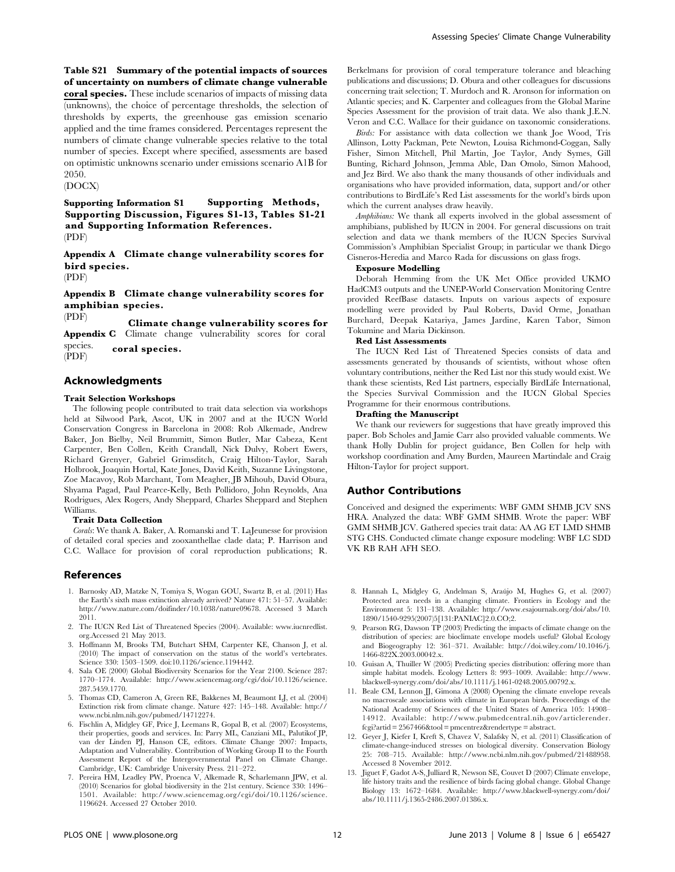Table S21 Summary of the potential impacts of sources of uncertainty on numbers of climate change vulnerable coral species. These include scenarios of impacts of missing data (unknowns), the choice of percentage thresholds, the selection of thresholds by experts, the greenhouse gas emission scenario applied and the time frames considered. Percentages represent the numbers of climate change vulnerable species relative to the total number of species. Except where specified, assessments are based on optimistic unknowns scenario under emissions scenario A1B for 2050.

(DOCX)

Supporting Information S1 (PDF) Supporting Methods, Supporting Discussion, Figures S1-13, Tables S1-21 and Supporting Information References.

Appendix A Climate change vulnerability scores for (PDF) bird species.

Appendix B Climate change vulnerability scores for (PDF) amphibian species.

Appendix C Climate change vulnerability scores for coral species. Climate change vulnerability scores for coral species.

(PDF)

# Acknowledgments

## Trait Selection Workshops

The following people contributed to trait data selection via workshops held at Silwood Park, Ascot, UK in 2007 and at the IUCN World Conservation Congress in Barcelona in 2008: Rob Alkemade, Andrew Baker, Jon Bielby, Neil Brummitt, Simon Butler, Mar Cabeza, Kent Carpenter, Ben Collen, Keith Crandall, Nick Dulvy, Robert Ewers, Richard Grenyer, Gabriel Grimsditch, Craig Hilton-Taylor, Sarah Holbrook, Joaquin Hortal, Kate Jones, David Keith, Suzanne Livingstone, Zoe Macavoy, Rob Marchant, Tom Meagher, JB Mihoub, David Obura, Shyama Pagad, Paul Pearce-Kelly, Beth Pollidoro, John Reynolds, Ana Rodrigues, Alex Rogers, Andy Sheppard, Charles Sheppard and Stephen Williams.

#### Trait Data Collection

Corals: We thank A. Baker, A. Romanski and T. LaJeunesse for provision of detailed coral species and zooxanthellae clade data; P. Harrison and C.C. Wallace for provision of coral reproduction publications; R.

## References

- 1. Barnosky AD, Matzke N, Tomiya S, Wogan GOU, Swartz B, et al. (2011) Has the Earth's sixth mass extinction already arrived? Nature 471: 51–57. Available: http://www.nature.com/doifinder/10.1038/nature09678. Accessed 3 March 2011.
- 2. The IUCN Red List of Threatened Species (2004). Available: www.iucnredlist. org.Accessed 21 May 2013.
- 3. Hoffmann M, Brooks TM, Butchart SHM, Carpenter KE, Chanson J, et al. (2010) The impact of conservation on the status of the world's vertebrates. Science 330: 1503–1509. doi:10.1126/science.1194442.
- 4. Sala OE (2000) Global Biodiversity Scenarios for the Year 2100. Science 287: 1770–1774. Available: http://www.sciencemag.org/cgi/doi/10.1126/science. 287.5459.1770.
- 5. Thomas CD, Cameron A, Green RE, Bakkenes M, Beaumont LJ, et al. (2004) Extinction risk from climate change. Nature 427: 145–148. Available: http:// www.ncbi.nlm.nih.gov/pubmed/14712274.
- 6. Fischlin A, Midgley GF, Price J, Leemans R, Gopal B, et al. (2007) Ecosystems, their properties, goods and services. In: Parry ML, Canziani ML, Palutikof JP, van der Linden PJ, Hanson CE, editors. Climate Change 2007: Impacts, Adaptation and Vulnerability. Contribution of Working Group II to the Fourth Assessment Report of the Intergovernmental Panel on Climate Change. Cambridge, UK: Cambridge University Press. 211–272.
- 7. Pereira HM, Leadley PW, Proenca V, Alkemade R, Scharlemann JPW, et al. (2010) Scenarios for global biodiversity in the 21st century. Science 330: 1496– 1501. Available: http://www.sciencemag.org/cgi/doi/10.1126/science. 1196624. Accessed 27 October 2010.

Berkelmans for provision of coral temperature tolerance and bleaching publications and discussions; D. Obura and other colleagues for discussions concerning trait selection; T. Murdoch and R. Aronson for information on Atlantic species; and K. Carpenter and colleagues from the Global Marine Species Assessment for the provision of trait data. We also thank J.E.N. Veron and C.C. Wallace for their guidance on taxonomic considerations.

Birds: For assistance with data collection we thank Joe Wood, Tris Allinson, Lotty Packman, Pete Newton, Louisa Richmond-Coggan, Sally Fisher, Simon Mitchell, Phil Martin, Joe Taylor, Andy Symes, Gill Bunting, Richard Johnson, Jemma Able, Dan Omolo, Simon Mahood, and Jez Bird. We also thank the many thousands of other individuals and organisations who have provided information, data, support and/or other contributions to BirdLife's Red List assessments for the world's birds upon which the current analyses draw heavily.

Amphibians: We thank all experts involved in the global assessment of amphibians, published by IUCN in 2004. For general discussions on trait selection and data we thank members of the IUCN Species Survival Commission's Amphibian Specialist Group; in particular we thank Diego Cisneros-Heredia and Marco Rada for discussions on glass frogs.

# Exposure Modelling

Deborah Hemming from the UK Met Office provided UKMO HadCM3 outputs and the UNEP-World Conservation Monitoring Centre provided ReefBase datasets. Inputs on various aspects of exposure modelling were provided by Paul Roberts, David Orme, Jonathan Burchard, Deepak Katariya, James Jardine, Karen Tabor, Simon Tokumine and Maria Dickinson.

## Red List Assessments

The IUCN Red List of Threatened Species consists of data and assessments generated by thousands of scientists, without whose often voluntary contributions, neither the Red List nor this study would exist. We thank these scientists, Red List partners, especially BirdLife International, the Species Survival Commission and the IUCN Global Species Programme for their enormous contributions.

#### Drafting the Manuscript

We thank our reviewers for suggestions that have greatly improved this paper. Bob Scholes and Jamie Carr also provided valuable comments. We thank Holly Dublin for project guidance, Ben Collen for help with workshop coordination and Amy Burden, Maureen Martindale and Craig Hilton-Taylor for project support.

## Author Contributions

Conceived and designed the experiments: WBF GMM SHMB JCV SNS HRA. Analyzed the data: WBF GMM SHMB. Wrote the paper: WBF GMM SHMB JCV. Gathered species trait data: AA AG ET LMD SHMB STG CHS. Conducted climate change exposure modeling: WBF LC SDD VK RB RAH AFH SEO.

- 8. Hannah L, Midgley G, Andelman S, Araújo M, Hughes G, et al. (2007) Protected area needs in a changing climate. Frontiers in Ecology and the Environment 5: 131–138. Available: http://www.esajournals.org/doi/abs/10. 1890/1540-9295(2007)5[131:PANIAC]2.0.CO;2.
- 9. Pearson RG, Dawson TP (2003) Predicting the impacts of climate change on the distribution of species: are bioclimate envelope models useful? Global Ecology and Biogeography 12: 361–371. Available: http://doi.wiley.com/10.1046/j. 1466-822X.2003.00042.x.
- 10. Guisan A, Thuiller W (2005) Predicting species distribution: offering more than simple habitat models. Ecology Letters 8: 993–1009. Available: http://www. blackwell-synergy.com/doi/abs/10.1111/j.1461-0248.2005.00792.x.
- 11. Beale CM, Lennon JJ, Gimona A (2008) Opening the climate envelope reveals no macroscale associations with climate in European birds. Proceedings of the National Academy of Sciences of the United States of America 105: 14908– 14912. Available: http://www.pubmedcentral.nih.gov/articlerender. fcgi?artid = 2567466&tool = pmcentrez&rendertype = abstract.
- 12. Geyer J, Kiefer I, Kreft S, Chavez V, Salafsky N, et al. (2011) Classification of climate-change-induced stresses on biological diversity. Conservation Biology 25: 708–715. Available: http://www.ncbi.nlm.nih.gov/pubmed/21488958. Accessed 8 November 2012.
- 13. Jiguet F, Gadot A-S, Julliard R, Newson SE, Couvet D (2007) Climate envelope, life history traits and the resilience of birds facing global change. Global Change Biology 13: 1672–1684. Available: http://www.blackwell-synergy.com/doi/ abs/10.1111/j.1365-2486.2007.01386.x.